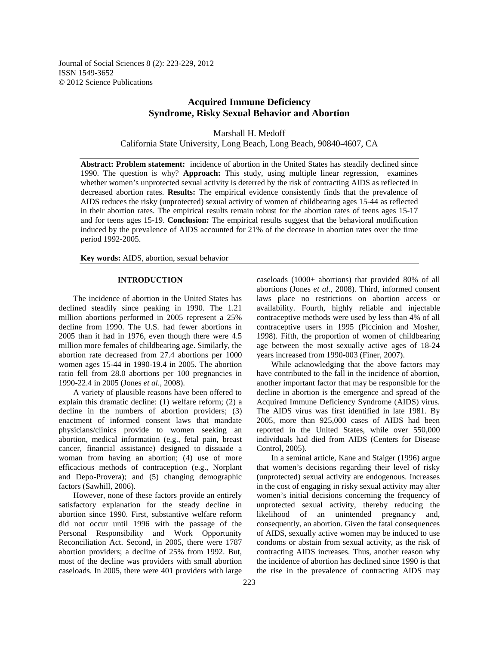Journal of Social Sciences 8 (2): 223-229, 2012 ISSN 1549-3652 © 2012 Science Publications

## **Acquired Immune Deficiency Syndrome, Risky Sexual Behavior and Abortion**

Marshall H. Medoff California State University, Long Beach, Long Beach, 90840-4607, CA

**Abstract: Problem statement:** incidence of abortion in the United States has steadily declined since 1990. The question is why? **Approach:** This study, using multiple linear regression, examines whether women's unprotected sexual activity is deterred by the risk of contracting AIDS as reflected in decreased abortion rates. **Results:** The empirical evidence consistently finds that the prevalence of AIDS reduces the risky (unprotected) sexual activity of women of childbearing ages 15-44 as reflected in their abortion rates. The empirical results remain robust for the abortion rates of teens ages 15-17 and for teens ages 15-19. **Conclusion:** The empirical results suggest that the behavioral modification induced by the prevalence of AIDS accounted for 21% of the decrease in abortion rates over the time period 1992-2005.

**Key words:** AIDS, abortion, sexual behavior

## **INTRODUCTION**

 The incidence of abortion in the United States has declined steadily since peaking in 1990. The 1.21 million abortions performed in 2005 represent a 25% decline from 1990. The U.S. had fewer abortions in 2005 than it had in 1976, even though there were 4.5 million more females of childbearing age. Similarly, the abortion rate decreased from 27.4 abortions per 1000 women ages 15-44 in 1990-19.4 in 2005. The abortion ratio fell from 28.0 abortions per 100 pregnancies in 1990-22.4 in 2005 (Jones *et al*., 2008).

 A variety of plausible reasons have been offered to explain this dramatic decline: (1) welfare reform; (2) a decline in the numbers of abortion providers; (3) enactment of informed consent laws that mandate physicians/clinics provide to women seeking an abortion, medical information (e.g., fetal pain, breast cancer, financial assistance) designed to dissuade a woman from having an abortion; (4) use of more efficacious methods of contraception (e.g., Norplant and Depo-Provera); and (5) changing demographic factors (Sawhill, 2006).

 However, none of these factors provide an entirely satisfactory explanation for the steady decline in abortion since 1990. First, substantive welfare reform did not occur until 1996 with the passage of the Personal Responsibility and Work Opportunity Reconciliation Act. Second, in 2005, there were 1787 abortion providers; a decline of 25% from 1992. But, most of the decline was providers with small abortion caseloads. In 2005, there were 401 providers with large caseloads (1000+ abortions) that provided 80% of all abortions (Jones *et al*., 2008). Third, informed consent laws place no restrictions on abortion access or availability. Fourth, highly reliable and injectable contraceptive methods were used by less than 4% of all contraceptive users in 1995 (Piccinion and Mosher, 1998). Fifth, the proportion of women of childbearing age between the most sexually active ages of 18-24 years increased from 1990-003 (Finer, 2007).

 While acknowledging that the above factors may have contributed to the fall in the incidence of abortion, another important factor that may be responsible for the decline in abortion is the emergence and spread of the Acquired Immune Deficiency Syndrome (AIDS) virus. The AIDS virus was first identified in late 1981. By 2005, more than 925,000 cases of AIDS had been reported in the United States, while over 550,000 individuals had died from AIDS (Centers for Disease Control, 2005).

 In a seminal article, Kane and Staiger (1996) argue that women's decisions regarding their level of risky (unprotected) sexual activity are endogenous. Increases in the cost of engaging in risky sexual activity may alter women's initial decisions concerning the frequency of unprotected sexual activity, thereby reducing the likelihood of an unintended pregnancy and, consequently, an abortion. Given the fatal consequences of AIDS, sexually active women may be induced to use condoms or abstain from sexual activity, as the risk of contracting AIDS increases. Thus, another reason why the incidence of abortion has declined since 1990 is that the rise in the prevalence of contracting AIDS may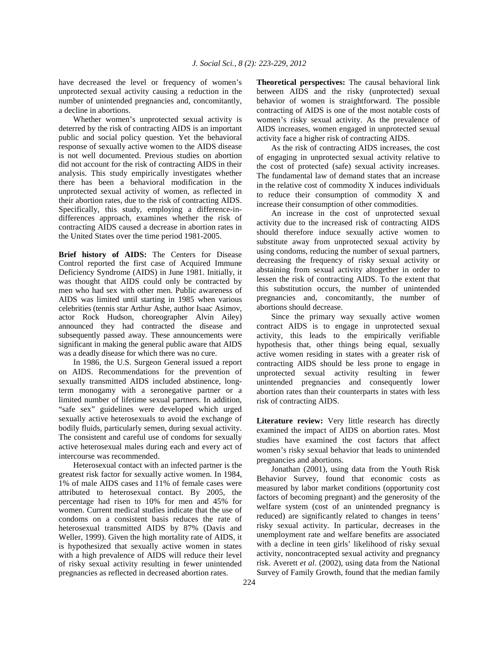have decreased the level or frequency of women's unprotected sexual activity causing a reduction in the number of unintended pregnancies and, concomitantly, a decline in abortions.

 Whether women's unprotected sexual activity is deterred by the risk of contracting AIDS is an important public and social policy question. Yet the behavioral response of sexually active women to the AIDS disease is not well documented. Previous studies on abortion did not account for the risk of contracting AIDS in their analysis. This study empirically investigates whether there has been a behavioral modification in the unprotected sexual activity of women, as reflected in their abortion rates, due to the risk of contracting AIDS. Specifically, this study, employing a difference-indifferences approach, examines whether the risk of contracting AIDS caused a decrease in abortion rates in the United States over the time period 1981-2005.

**Brief history of AIDS:** The Centers for Disease Control reported the first case of Acquired Immune Deficiency Syndrome (AIDS) in June 1981. Initially, it was thought that AIDS could only be contracted by men who had sex with other men. Public awareness of AIDS was limited until starting in 1985 when various celebrities (tennis star Arthur Ashe, author Isaac Asimov, actor Rock Hudson, choreographer Alvin Ailey) announced they had contracted the disease and subsequently passed away. These announcements were significant in making the general public aware that AIDS was a deadly disease for which there was no cure.

 In 1986, the U.S. Surgeon General issued a report on AIDS. Recommendations for the prevention of sexually transmitted AIDS included abstinence, longterm monogamy with a seronegative partner or a limited number of lifetime sexual partners. In addition, "safe sex" guidelines were developed which urged sexually active heterosexuals to avoid the exchange of bodily fluids, particularly semen, during sexual activity. The consistent and careful use of condoms for sexually active heterosexual males during each and every act of intercourse was recommended.

 Heterosexual contact with an infected partner is the greatest risk factor for sexually active women. In 1984, 1% of male AIDS cases and 11% of female cases were attributed to heterosexual contact. By 2005, the percentage had risen to 10% for men and 45% for women. Current medical studies indicate that the use of condoms on a consistent basis reduces the rate of heterosexual transmitted AIDS by 87% (Davis and Weller, 1999). Given the high mortality rate of AIDS, it is hypothesized that sexually active women in states with a high prevalence of AIDS will reduce their level of risky sexual activity resulting in fewer unintended pregnancies as reflected in decreased abortion rates.

**Theoretical perspectives:** The causal behavioral link between AIDS and the risky (unprotected) sexual behavior of women is straightforward. The possible contracting of AIDS is one of the most notable costs of women's risky sexual activity. As the prevalence of AIDS increases, women engaged in unprotected sexual activity face a higher risk of contracting AIDS.

 As the risk of contracting AIDS increases, the cost of engaging in unprotected sexual activity relative to the cost of protected (safe) sexual activity increases. The fundamental law of demand states that an increase in the relative cost of commodity X induces individuals to reduce their consumption of commodity X and increase their consumption of other commodities.

 An increase in the cost of unprotected sexual activity due to the increased risk of contracting AIDS should therefore induce sexually active women to substitute away from unprotected sexual activity by using condoms, reducing the number of sexual partners, decreasing the frequency of risky sexual activity or abstaining from sexual activity altogether in order to lessen the risk of contracting AIDS. To the extent that this substitution occurs, the number of unintended pregnancies and, concomitantly, the number of abortions should decrease.

 Since the primary way sexually active women contract AIDS is to engage in unprotected sexual activity, this leads to the empirically verifiable hypothesis that, other things being equal, sexually active women residing in states with a greater risk of contracting AIDS should be less prone to engage in unprotected sexual activity resulting in fewer unintended pregnancies and consequently lower abortion rates than their counterparts in states with less risk of contracting AIDS.

**Literature review:** Very little research has directly examined the impact of AIDS on abortion rates. Most studies have examined the cost factors that affect women's risky sexual behavior that leads to unintended pregnancies and abortions.

 Jonathan (2001), using data from the Youth Risk Behavior Survey, found that economic costs as measured by labor market conditions (opportunity cost factors of becoming pregnant) and the generosity of the welfare system (cost of an unintended pregnancy is reduced) are significantly related to changes in teens' risky sexual activity. In particular, decreases in the unemployment rate and welfare benefits are associated with a decline in teen girls' likelihood of risky sexual activity, noncontracepted sexual activity and pregnancy risk. Averett *et al*. (2002), using data from the National Survey of Family Growth, found that the median family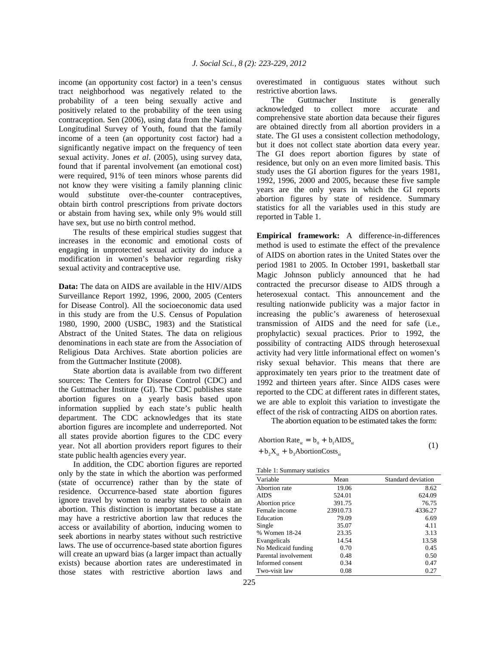income (an opportunity cost factor) in a teen's census tract neighborhood was negatively related to the probability of a teen being sexually active and positively related to the probability of the teen using contraception. Sen (2006), using data from the National Longitudinal Survey of Youth, found that the family income of a teen (an opportunity cost factor) had a significantly negative impact on the frequency of teen sexual activity. Jones *et al*. (2005), using survey data, found that if parental involvement (an emotional cost) were required, 91% of teen minors whose parents did not know they were visiting a family planning clinic would substitute over-the-counter contraceptives, obtain birth control prescriptions from private doctors or abstain from having sex, while only 9% would still have sex, but use no birth control method.

 The results of these empirical studies suggest that increases in the economic and emotional costs of engaging in unprotected sexual activity do induce a modification in women's behavior regarding risky sexual activity and contraceptive use.

**Data:** The data on AIDS are available in the HIV/AIDS Surveillance Report 1992, 1996, 2000, 2005 (Centers for Disease Control). All the socioeconomic data used in this study are from the U.S. Census of Population 1980, 1990, 2000 (USBC, 1983) and the Statistical Abstract of the United States. The data on religious denominations in each state are from the Association of Religious Data Archives. State abortion policies are from the Guttmacher Institute (2008).

 State abortion data is available from two different sources: The Centers for Disease Control (CDC) and the Guttmacher Institute (GI). The CDC publishes state abortion figures on a yearly basis based upon information supplied by each state's public health department. The CDC acknowledges that its state abortion figures are incomplete and underreported. Not all states provide abortion figures to the CDC every year. Not all abortion providers report figures to their state public health agencies every year.

 In addition, the CDC abortion figures are reported only by the state in which the abortion was performed (state of occurrence) rather than by the state of residence. Occurrence-based state abortion figures ignore travel by women to nearby states to obtain an abortion. This distinction is important because a state may have a restrictive abortion law that reduces the access or availability of abortion, inducing women to seek abortions in nearby states without such restrictive laws. The use of occurrence-based state abortion figures will create an upward bias (a larger impact than actually exists) because abortion rates are underestimated in those states with restrictive abortion laws and

 The Guttmacher Institute is generally acknowledged to collect more accurate and comprehensive state abortion data because their figures are obtained directly from all abortion providers in a state. The GI uses a consistent collection methodology, but it does not collect state abortion data every year. The GI does report abortion figures by state of residence, but only on an even more limited basis. This study uses the GI abortion figures for the years 1981, 1992, 1996, 2000 and 2005, because these five sample years are the only years in which the GI reports abortion figures by state of residence. Summary statistics for all the variables used in this study are reported in Table 1.

**Empirical framework:** A difference-in-differences method is used to estimate the effect of the prevalence of AIDS on abortion rates in the United States over the period 1981 to 2005. In October 1991, basketball star Magic Johnson publicly announced that he had contracted the precursor disease to AIDS through a heterosexual contact. This announcement and the resulting nationwide publicity was a major factor in increasing the public's awareness of heterosexual transmission of AIDS and the need for safe (i.e., prophylactic) sexual practices. Prior to 1992, the possibility of contracting AIDS through heterosexual activity had very little informational effect on women's risky sexual behavior. This means that there are approximately ten years prior to the treatment date of 1992 and thirteen years after. Since AIDS cases were reported to the CDC at different rates in different states, we are able to exploit this variation to investigate the effect of the risk of contracting AIDS on abortion rates.

The abortion equation to be estimated takes the form:

| Abortion Rate <sub>st</sub> = $b_0 + b_1 AIDS_{st}$ |  |
|-----------------------------------------------------|--|
| $+ b_2 X_{st} + b_3$ AbortionCosts <sub>st</sub>    |  |

| Variable             | Mean     | Standard deviation |
|----------------------|----------|--------------------|
| Abortion rate        | 19.06    | 8.62               |
| AIDS                 | 524.01   | 624.09             |
| Abortion price       | 391.75   | 76.75              |
| Female income        | 23910.73 | 4336.27            |
| Education            | 79.09    | 6.69               |
| Single               | 35.07    | 4.11               |
| % Women 18-24        | 23.35    | 3.13               |
| Evangelicals         | 14.54    | 13.58              |
| No Medicaid funding  | 0.70     | 0.45               |
| Parental involvement | 0.48     | 0.50               |
| Informed consent     | 0.34     | 0.47               |
| Two-visit law        | 0.08     | 0.27               |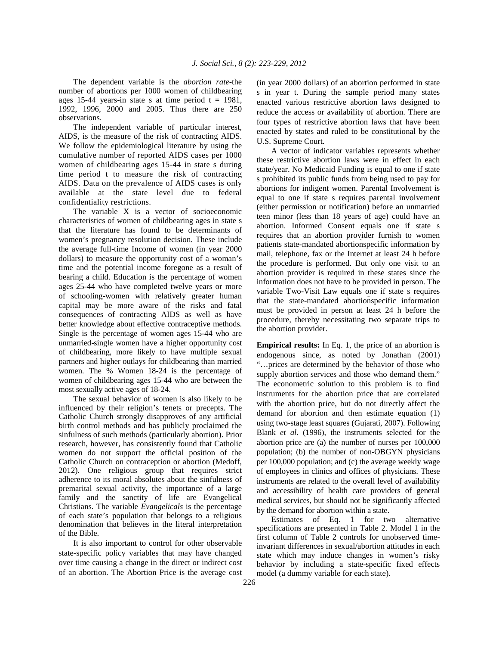The dependent variable is the *abortion rate*-the number of abortions per 1000 women of childbearing ages 15-44 years-in state s at time period  $t = 1981$ , 1992, 1996, 2000 and 2005. Thus there are 250 observations.

 The independent variable of particular interest, AIDS, is the measure of the risk of contracting AIDS. We follow the epidemiological literature by using the cumulative number of reported AIDS cases per 1000 women of childbearing ages 15-44 in state s during time period t to measure the risk of contracting AIDS. Data on the prevalence of AIDS cases is only available at the state level due to federal confidentiality restrictions.

 The variable X is a vector of socioeconomic characteristics of women of childbearing ages in state s that the literature has found to be determinants of women's pregnancy resolution decision. These include the average full-time Income of women (in year 2000 dollars) to measure the opportunity cost of a woman's time and the potential income foregone as a result of bearing a child. Education is the percentage of women ages 25-44 who have completed twelve years or more of schooling-women with relatively greater human capital may be more aware of the risks and fatal consequences of contracting AIDS as well as have better knowledge about effective contraceptive methods. Single is the percentage of women ages 15-44 who are unmarried-single women have a higher opportunity cost of childbearing, more likely to have multiple sexual partners and higher outlays for childbearing than married women. The % Women 18-24 is the percentage of women of childbearing ages 15-44 who are between the most sexually active ages of 18-24.

 The sexual behavior of women is also likely to be influenced by their religion's tenets or precepts. The Catholic Church strongly disapproves of any artificial birth control methods and has publicly proclaimed the sinfulness of such methods (particularly abortion). Prior research, however, has consistently found that Catholic women do not support the official position of the Catholic Church on contraception or abortion (Medoff, 2012). One religious group that requires strict adherence to its moral absolutes about the sinfulness of premarital sexual activity, the importance of a large family and the sanctity of life are Evangelical Christians. The variable *Evangelicals* is the percentage of each state's population that belongs to a religious denomination that believes in the literal interpretation of the Bible.

 It is also important to control for other observable state-specific policy variables that may have changed over time causing a change in the direct or indirect cost of an abortion. The Abortion Price is the average cost

(in year 2000 dollars) of an abortion performed in state s in year t. During the sample period many states enacted various restrictive abortion laws designed to reduce the access or availability of abortion. There are four types of restrictive abortion laws that have been enacted by states and ruled to be constitutional by the U.S. Supreme Court.

 A vector of indicator variables represents whether these restrictive abortion laws were in effect in each state/year. No Medicaid Funding is equal to one if state s prohibited its public funds from being used to pay for abortions for indigent women. Parental Involvement is equal to one if state s requires parental involvement (either permission or notification) before an unmarried teen minor (less than 18 years of age) could have an abortion. Informed Consent equals one if state s requires that an abortion provider furnish to women patients state-mandated abortionspecific information by mail, telephone, fax or the Internet at least 24 h before the procedure is performed. But only one visit to an abortion provider is required in these states since the information does not have to be provided in person. The variable Two-Visit Law equals one if state s requires that the state-mandated abortionspecific information must be provided in person at least 24 h before the procedure, thereby necessitating two separate trips to the abortion provider.

**Empirical results:** In Eq. 1, the price of an abortion is endogenous since, as noted by Jonathan (2001) "…prices are determined by the behavior of those who supply abortion services and those who demand them." The econometric solution to this problem is to find instruments for the abortion price that are correlated with the abortion price, but do not directly affect the demand for abortion and then estimate equation (1) using two-stage least squares (Gujarati, 2007). Following Blank *et al*. (1996), the instruments selected for the abortion price are (a) the number of nurses per 100,000 population; (b) the number of non-OBGYN physicians per 100,000 population; and (c) the average weekly wage of employees in clinics and offices of physicians. These instruments are related to the overall level of availability and accessibility of health care providers of general medical services, but should not be significantly affected by the demand for abortion within a state.

 Estimates of Eq. 1 for two alternative specifications are presented in Table 2. Model 1 in the first column of Table 2 controls for unobserved timeinvariant differences in sexual/abortion attitudes in each state which may induce changes in women's risky behavior by including a state-specific fixed effects model (a dummy variable for each state).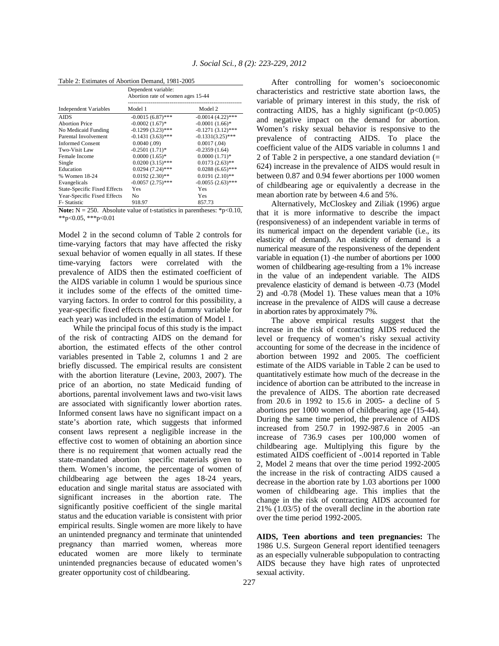| Table 2: Estimates of Abortion Demand, 1981-2005 |                                                          |                     |  |
|--------------------------------------------------|----------------------------------------------------------|---------------------|--|
|                                                  | Dependent variable:<br>Abortion rate of women ages 15-44 |                     |  |
| Independent Variables                            | Model 1                                                  | Model 2             |  |
| <b>AIDS</b>                                      | $-0.0015(6.87)$ ***                                      | $-0.0014(4.22)$ *** |  |
| <b>Abortion Price</b>                            | $-0.0002(1.67)$ *                                        | $-0.0001(1.66)$ *   |  |
| No Medicaid Funding                              | $-0.1299(3.23)$ ***                                      | $-0.1271(3.12)$ *** |  |
| Parental Involvement                             | $-0.1431(3.63)$ ***                                      | $-0.1331(3.25)$ *** |  |
| <b>Informed Consent</b>                          | 0.0040(0.09)                                             | 0.0017(0.04)        |  |
| Two-Visit Law                                    | $-0.2501(1.71)$ *                                        | $-0.2359(1.64)$     |  |
| Female Income                                    | $0.0000(1.65)$ *                                         | $0.0000(1.71)*$     |  |
| Single                                           | $0.0200(3.15)$ ***                                       | $0.0173(2.63)$ **   |  |
| Education                                        | $0.0294(7.24)$ ***                                       | $0.0288(6.65)$ ***  |  |
| % Women 18-24                                    | $0.0192(2.30)$ **                                        | $0.0191(2.10)$ **   |  |
| Evangelicals                                     | $-0.0057(2.75)$ ***                                      | $-0.0055(2.63)$ *** |  |
| <b>State-Specific Fixed Effects</b>              | Yes                                                      | Yes                 |  |
| Year-Specific Fixed Effects                      | No                                                       | Yes                 |  |
| F-Statistic                                      | 918.97                                                   | 857.73              |  |

**Note:**  $N = 250$ . Absolute value of t-statistics in parentheses: \*p<0.10,  $*p<0.05$ ,  $**p<0.01$ 

Model 2 in the second column of Table 2 controls for time-varying factors that may have affected the risky sexual behavior of women equally in all states. If these time-varying factors were correlated with the prevalence of AIDS then the estimated coefficient of the AIDS variable in column 1 would be spurious since it includes some of the effects of the omitted timevarying factors. In order to control for this possibility, a year-specific fixed effects model (a dummy variable for each year) was included in the estimation of Model 1.

 While the principal focus of this study is the impact of the risk of contracting AIDS on the demand for abortion, the estimated effects of the other control variables presented in Table 2, columns 1 and 2 are briefly discussed. The empirical results are consistent with the abortion literature (Levine, 2003, 2007). The price of an abortion, no state Medicaid funding of abortions, parental involvement laws and two-visit laws are associated with significantly lower abortion rates. Informed consent laws have no significant impact on a state's abortion rate, which suggests that informed consent laws represent a negligible increase in the effective cost to women of obtaining an abortion since there is no requirement that women actually read the state-mandated abortion specific materials given to them. Women's income, the percentage of women of childbearing age between the ages 18-24 years, education and single marital status are associated with significant increases in the abortion rate. The significantly positive coefficient of the single marital status and the education variable is consistent with prior empirical results. Single women are more likely to have an unintended pregnancy and terminate that unintended pregnancy than married women, whereas more educated women are more likely to terminate unintended pregnancies because of educated women's greater opportunity cost of childbearing.

 After controlling for women's socioeconomic characteristics and restrictive state abortion laws, the variable of primary interest in this study, the risk of contracting AIDS, has a highly significant  $(p<0.005)$ and negative impact on the demand for abortion. Women's risky sexual behavior is responsive to the prevalence of contracting AIDS. To place the coefficient value of the AIDS variable in columns 1 and 2 of Table 2 in perspective, a one standard deviation (= 624) increase in the prevalence of AIDS would result in between 0.87 and 0.94 fewer abortions per 1000 women of childbearing age or equivalently a decrease in the mean abortion rate by between 4.6 and 5%.

 Alternatively, McCloskey and Ziliak (1996) argue that it is more informative to describe the impact (responsiveness) of an independent variable in terms of its numerical impact on the dependent variable (i.e., its elasticity of demand). An elasticity of demand is a numerical measure of the responsiveness of the dependent variable in equation (1) -the number of abortions per 1000 women of childbearing age-resulting from a 1% increase in the value of an independent variable. The AIDS prevalence elasticity of demand is between -0.73 (Model 2) and -0.78 (Model 1). These values mean that a 10% increase in the prevalence of AIDS will cause a decrease in abortion rates by approximately 7%.

 The above empirical results suggest that the increase in the risk of contracting AIDS reduced the level or frequency of women's risky sexual activity accounting for some of the decrease in the incidence of abortion between 1992 and 2005. The coefficient estimate of the AIDS variable in Table 2 can be used to quantitatively estimate how much of the decrease in the incidence of abortion can be attributed to the increase in the prevalence of AIDS. The abortion rate decreased from 20.6 in 1992 to 15.6 in 2005- a decline of 5 abortions per 1000 women of childbearing age (15-44). During the same time period, the prevalence of AIDS increased from 250.7 in 1992-987.6 in 2005 -an increase of 736.9 cases per 100,000 women of childbearing age. Multiplying this figure by the estimated AIDS coefficient of -.0014 reported in Table 2, Model 2 means that over the time period 1992-2005 the increase in the risk of contracting AIDS caused a decrease in the abortion rate by 1.03 abortions per 1000 women of childbearing age. This implies that the change in the risk of contracting AIDS accounted for 21% (1.03/5) of the overall decline in the abortion rate over the time period 1992-2005.

**AIDS, Teen abortions and teen pregnancies:** The 1986 U.S. Surgeon General report identified teenagers as an especially vulnerable subpopulation to contracting AIDS because they have high rates of unprotected sexual activity.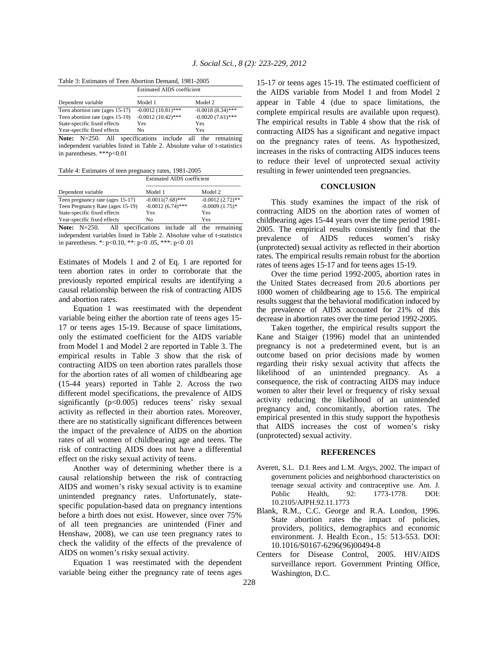|  | Table 3: Estimates of Teen Abortion Demand, 1981-2005 |
|--|-------------------------------------------------------|
|--|-------------------------------------------------------|

|                                 | <b>Estimated AIDS</b> coefficient |                     |
|---------------------------------|-----------------------------------|---------------------|
| Dependent variable              | Model 1                           | Model 2             |
| Teen abortion rate (ages 15-17) | $-0.0012(10.81)$ ***              | $-0.0018(8.34)$ *** |
| Teen abortion rate (ages 15-19) | $-0.0012(10.42)$ ***              | $-0.0020(7.61)$ *** |
| State-specific fixed effects    | Yes                               | Yes                 |
| Year-specific fixed effects     | No                                | Yes                 |

**Note:** N=250. All specifications include all the remaining independent variables listed in Table 2. Absolute value of t-statistics in parentheses. \*\*\*p<0.01

Table 4: Estimates of teen pregnancy rates, 1981-2005

|                                  | <b>Estimated AIDS</b> coefficient |                    |  |
|----------------------------------|-----------------------------------|--------------------|--|
| Dependent variable               | Model 1                           | Model 2            |  |
| Teen pregnancy rate (ages 15-17) | $-0.0011(7.68)$ ***               | $-0.0012(2.72)$ ** |  |
| Teen Pregnancy Rate (ages 15-19) | $-0.0012(6.74)$ ***               | $-0.0009(1.75)$ *  |  |
| State-specific fixed effects     | Yes                               | Yes                |  |
| Year-specific fixed effects      | No                                | Yes                |  |
| $-$                              | $\sim$<br>.                       | .<br>___           |  |

Note: N=250. All specifications include all the remaining independent variables listed in Table 2. Absolute value of t-statistics in parentheses. \*: p<0.10, \*\*: p<0 .05, \*\*\*: p<0 .01

Estimates of Models 1 and 2 of Eq. 1 are reported for teen abortion rates in order to corroborate that the previously reported empirical results are identifying a causal relationship between the risk of contracting AIDS and abortion rates.

 Equation 1 was reestimated with the dependent variable being either the abortion rate of teens ages 15- 17 or teens ages 15-19. Because of space limitations, only the estimated coefficient for the AIDS variable from Model 1 and Model 2 are reported in Table 3. The empirical results in Table 3 show that the risk of contracting AIDS on teen abortion rates parallels those for the abortion rates of all women of childbearing age (15-44 years) reported in Table 2. Across the two different model specifications, the prevalence of AIDS significantly  $(p<0.005)$  reduces teens' risky sexual activity as reflected in their abortion rates. Moreover, there are no statistically significant differences between the impact of the prevalence of AIDS on the abortion rates of all women of childbearing age and teens. The risk of contracting AIDS does not have a differential effect on the risky sexual activity of teens.

 Another way of determining whether there is a causal relationship between the risk of contracting AIDS and women's risky sexual activity is to examine unintended pregnancy rates. Unfortunately, statespecific population-based data on pregnancy intentions before a birth does not exist. However, since over 75% of all teen pregnancies are unintended (Finer and Henshaw, 2008), we can use teen pregnancy rates to check the validity of the effects of the prevalence of AIDS on women's risky sexual activity.

 Equation 1 was reestimated with the dependent variable being either the pregnancy rate of teens ages

15-17 or teens ages 15-19. The estimated coefficient of the AIDS variable from Model 1 and from Model 2 appear in Table 4 (due to space limitations, the complete empirical results are available upon request). The empirical results in Table 4 show that the risk of contracting AIDS has a significant and negative impact on the pregnancy rates of teens. As hypothesized, increases in the risks of contracting AIDS induces teens to reduce their level of unprotected sexual activity resulting in fewer unintended teen pregnancies.

## **CONCLUSION**

 This study examines the impact of the risk of contracting AIDS on the abortion rates of women of childbearing ages 15-44 years over the time period 1981- 2005. The empirical results consistently find that the prevalence of AIDS reduces women's risky (unprotected) sexual activity as reflected in their abortion rates. The empirical results remain robust for the abortion rates of teens ages 15-17 and for teens ages 15-19.

 Over the time period 1992-2005, abortion rates in the United States decreased from 20.6 abortions per 1000 women of childbearing age to 15.6. The empirical results suggest that the behavioral modification induced by the prevalence of AIDS accounted for 21% of this decrease in abortion rates over the time period 1992-2005.

 Taken together, the empirical results support the Kane and Staiger (1996) model that an unintended pregnancy is not a predetermined event, but is an outcome based on prior decisions made by women regarding their risky sexual activity that affects the likelihood of an unintended pregnancy. As a consequence, the risk of contracting AIDS may induce women to alter their level or frequency of risky sexual activity reducing the likelihood of an unintended pregnancy and, concomitantly, abortion rates. The empirical presented in this study support the hypothesis that AIDS increases the cost of women's risky (unprotected) sexual activity.

## **REFERENCES**

- Averett, S.L. D.I. Rees and L.M. Argys, 2002. The impact of government policies and neighborhood characteristics on teenage sexual activity and contraceptive use. Am. J. Public Health, 92: 1773-1778. DOI: 10.2105/AJPH.92.11.1773
- Blank, R.M., C.C. George and R.A. London, 1996. State abortion rates the impact of policies, providers, politics, demographics and economic environment. J. Health Econ., 15: 513-553. DOI: 10.1016/S0167-6296(96)00494-8
- Centers for Disease Control, 2005. HIV/AIDS surveillance report. Government Printing Office, Washington, D.C.